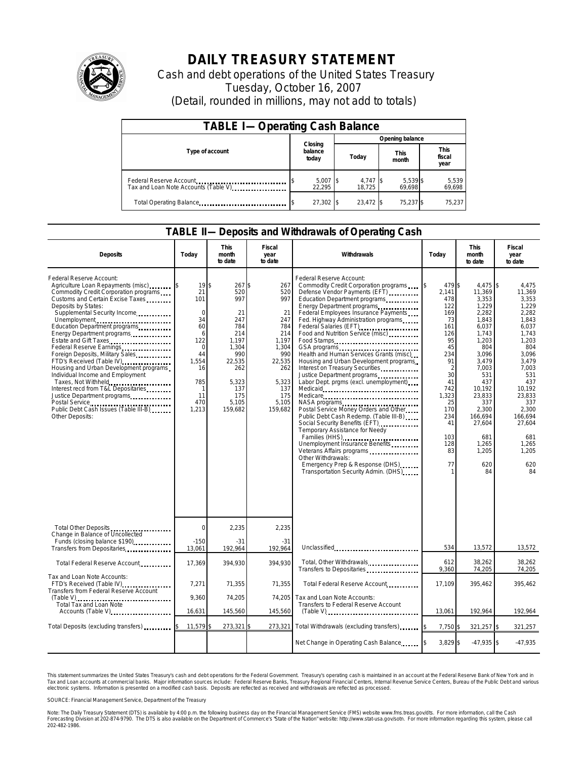

## **DAILY TREASURY STATEMENT**

Cash and debt operations of the United States Treasury Tuesday, October 16, 2007 (Detail, rounded in millions, may not add to totals)

| <b>TABLE I-Operating Cash Balance</b>                           |                             |                      |                      |                               |  |  |  |
|-----------------------------------------------------------------|-----------------------------|----------------------|----------------------|-------------------------------|--|--|--|
|                                                                 |                             | Opening balance      |                      |                               |  |  |  |
| Type of account                                                 | Closing<br>balance<br>today | Today                | <b>This</b><br>month | <b>This</b><br>fiscal<br>year |  |  |  |
| Federal Reserve Account<br>Tax and Loan Note Accounts (Table V) | $5,007$ \$<br>22.295        | $4,747$ \$<br>18.725 | 5,539 \$<br>69,698   | 5,539<br>69,698               |  |  |  |
| Total Operating Balance                                         | $27,302$ \$                 | 23.472 \$            | 75,237 \$            | 75,237                        |  |  |  |

## **TABLE II—Deposits and Withdrawals of Operating Cash**

| <b>Deposits</b>                                                                                                                                                                                                                                                                                                                                                                                                                                                                                                                                                                                                    | Todav                                                                                                              | This<br>month<br>to date                                                                                                             | Fiscal<br>year<br>to date                                                                                                         | Withdrawals                                                                                                                                                                                                                                                                                                                                                                                                                                                                                                                                                                                                                                                                                                                                                                                                                                                                                                             | Today                                                                                                                                                                  | <b>This</b><br>month<br>to date                                                                                                                                                                                                     | Fiscal<br>year<br>to date                                                                                                                                                                                                     |
|--------------------------------------------------------------------------------------------------------------------------------------------------------------------------------------------------------------------------------------------------------------------------------------------------------------------------------------------------------------------------------------------------------------------------------------------------------------------------------------------------------------------------------------------------------------------------------------------------------------------|--------------------------------------------------------------------------------------------------------------------|--------------------------------------------------------------------------------------------------------------------------------------|-----------------------------------------------------------------------------------------------------------------------------------|-------------------------------------------------------------------------------------------------------------------------------------------------------------------------------------------------------------------------------------------------------------------------------------------------------------------------------------------------------------------------------------------------------------------------------------------------------------------------------------------------------------------------------------------------------------------------------------------------------------------------------------------------------------------------------------------------------------------------------------------------------------------------------------------------------------------------------------------------------------------------------------------------------------------------|------------------------------------------------------------------------------------------------------------------------------------------------------------------------|-------------------------------------------------------------------------------------------------------------------------------------------------------------------------------------------------------------------------------------|-------------------------------------------------------------------------------------------------------------------------------------------------------------------------------------------------------------------------------|
| Federal Reserve Account:<br>Agriculture Loan Repayments (misc)<br>Commodity Credit Corporation programs<br>Customs and Certain Excise Taxes<br>Deposits by States:<br>Supplemental Security Income<br>Unemployment<br>Education Department programs<br>Energy Department programs<br>Estate and Gift Taxes<br>Foreign Deposits, Military Sales<br>FTD's Received (Table IV)<br>Housing and Urban Development programs<br>Individual Income and Employment<br>Taxes, Not Withheld<br>Interest recd from T&L Depositaries<br>Justice Department programs<br>Public Debt Cash Issues (Table III-B)<br>Other Deposits: | 19S<br>21<br>101<br>$\Omega$<br>34<br>60<br>6<br>122<br>$\Omega$<br>44<br>1,554<br>16<br>785<br>11<br>470<br>1,213 | 267 \$<br>520<br>997<br>21<br>247<br>784<br>214<br>1,197<br>1,304<br>990<br>22,535<br>262<br>5.323<br>137<br>175<br>5.105<br>159.682 | 267<br>520<br>997<br>21<br>247<br>784<br>214<br>1,197<br>1,304<br>990<br>22,535<br>262<br>5.323<br>137<br>175<br>5.105<br>159.682 | Federal Reserve Account:<br>Commodity Credit Corporation programs<br>Defense Vendor Payments (EFT)<br>Education Department programs<br>Energy Department programs<br>Federal Employees Insurance Payments<br>Fed. Highway Administration programs<br>Federal Salaries (EFT)<br>Food and Nutrition Service (misc)<br>Food Stamps<br>GSA programs<br>Health and Human Services Grants (misc)<br>Housing and Urban Development programs<br>Interest on Treasury Securities<br>Justice Department programs<br>Labor Dept. prgms (excl. unemployment)<br>Medicare<br>NASA programs<br>Postal Service Money Orders and Other<br>Public Debt Cash Redemp. (Table III-B)<br>Social Security Benefits (EFT)<br>Temporary Assistance for Needy<br>Families (HHS)<br>Unemployment Insurance Benefits<br>Veterans Affairs programs<br>Other Withdrawals:<br>Emergency Prep & Response (DHS)<br>Transportation Security Admin. (DHS) | 479 \$<br>2.141<br>478<br>122<br>169<br>73<br>161<br>126<br>95<br>45<br>234<br>91<br>2<br>30<br>41<br>742<br>1,323<br>25<br>170<br>234<br>41<br>103<br>128<br>83<br>77 | $4.475$ \\$<br>11,369<br>3,353<br>1,229<br>2,282<br>1,843<br>6.037<br>1,743<br>1,203<br>804<br>3.096<br>3,479<br>7.003<br>531<br>437<br>10,192<br>23,833<br>337<br>2.300<br>166,694<br>27,604<br>681<br>1,265<br>1,205<br>620<br>84 | 4.475<br>11,369<br>3.353<br>1,229<br>2,282<br>1.843<br>6.037<br>1,743<br>1.203<br>804<br>3.096<br>3.479<br>7.003<br>531<br>437<br>10.192<br>23.833<br>337<br>2,300<br>166.694<br>27,604<br>681<br>1,265<br>1.205<br>620<br>84 |
| Total Other Deposits<br>Change in Balance of Uncollected<br>Funds (closing balance \$190)                                                                                                                                                                                                                                                                                                                                                                                                                                                                                                                          | $\overline{0}$<br>$-150$                                                                                           | 2,235<br>$-31$                                                                                                                       | 2,235<br>$-31$                                                                                                                    |                                                                                                                                                                                                                                                                                                                                                                                                                                                                                                                                                                                                                                                                                                                                                                                                                                                                                                                         |                                                                                                                                                                        |                                                                                                                                                                                                                                     |                                                                                                                                                                                                                               |
| Transfers from Depositaries                                                                                                                                                                                                                                                                                                                                                                                                                                                                                                                                                                                        | 13,061                                                                                                             | 192,964                                                                                                                              | 192,964                                                                                                                           | Unclassified                                                                                                                                                                                                                                                                                                                                                                                                                                                                                                                                                                                                                                                                                                                                                                                                                                                                                                            | 534                                                                                                                                                                    | 13,572                                                                                                                                                                                                                              | 13,572                                                                                                                                                                                                                        |
| Total Federal Reserve Account                                                                                                                                                                                                                                                                                                                                                                                                                                                                                                                                                                                      | 17,369                                                                                                             | 394,930                                                                                                                              | 394,930                                                                                                                           | Total, Other Withdrawals<br>Transfers to Depositaries                                                                                                                                                                                                                                                                                                                                                                                                                                                                                                                                                                                                                                                                                                                                                                                                                                                                   | 612<br>9,360                                                                                                                                                           | 38,262<br>74,205                                                                                                                                                                                                                    | 38,262<br>74,205                                                                                                                                                                                                              |
| Tax and Loan Note Accounts:<br>FTD's Received (Table IV)<br>Transfers from Federal Reserve Account                                                                                                                                                                                                                                                                                                                                                                                                                                                                                                                 | 7,271                                                                                                              | 71,355                                                                                                                               | 71,355                                                                                                                            | Total Federal Reserve Account                                                                                                                                                                                                                                                                                                                                                                                                                                                                                                                                                                                                                                                                                                                                                                                                                                                                                           | 17,109                                                                                                                                                                 | 395,462                                                                                                                                                                                                                             | 395,462                                                                                                                                                                                                                       |
| Total Tax and Loan Note<br>Accounts (Table V)                                                                                                                                                                                                                                                                                                                                                                                                                                                                                                                                                                      | 9,360<br>16,631                                                                                                    | 74,205<br>145,560                                                                                                                    | 74,205<br>145,560                                                                                                                 | Tax and Loan Note Accounts:<br>Transfers to Federal Reserve Account<br>$(Table V)$                                                                                                                                                                                                                                                                                                                                                                                                                                                                                                                                                                                                                                                                                                                                                                                                                                      | 13,061                                                                                                                                                                 | 192,964                                                                                                                                                                                                                             | 192,964                                                                                                                                                                                                                       |
|                                                                                                                                                                                                                                                                                                                                                                                                                                                                                                                                                                                                                    |                                                                                                                    |                                                                                                                                      |                                                                                                                                   |                                                                                                                                                                                                                                                                                                                                                                                                                                                                                                                                                                                                                                                                                                                                                                                                                                                                                                                         |                                                                                                                                                                        |                                                                                                                                                                                                                                     |                                                                                                                                                                                                                               |
| Total Deposits (excluding transfers)                                                                                                                                                                                                                                                                                                                                                                                                                                                                                                                                                                               | 11,579                                                                                                             | 273,321                                                                                                                              | 273,321                                                                                                                           | Total Withdrawals (excluding transfers)                                                                                                                                                                                                                                                                                                                                                                                                                                                                                                                                                                                                                                                                                                                                                                                                                                                                                 | 7,750 \$                                                                                                                                                               | 321,257 \$                                                                                                                                                                                                                          | 321,257                                                                                                                                                                                                                       |
|                                                                                                                                                                                                                                                                                                                                                                                                                                                                                                                                                                                                                    |                                                                                                                    |                                                                                                                                      |                                                                                                                                   | Net Change in Operating Cash Balance                                                                                                                                                                                                                                                                                                                                                                                                                                                                                                                                                                                                                                                                                                                                                                                                                                                                                    | 3,829 \$                                                                                                                                                               | $-47,935$ \$                                                                                                                                                                                                                        | $-47,935$                                                                                                                                                                                                                     |

This statement summarizes the United States Treasury's cash and debt operations for the Federal Government. Treasury's operating cash is maintained<br>Tax and Loan accounts at commercial banks. Major information sources inclu narizes the United States Treasury's cash and debt operations for the Federal Government. Treasury's operating cash is maintained in an account at the Federal Reserve Bank of New York and in<br>nts at commercial banks. Major

SOURCE: Financial Management Service, Department of the Treasury

Note: The Daily Treasury Statement (DTS) is available by 4:00 p.m. the following business day on the Financial Management Service (FMS) website www.fms.treas.gov/dts. For more information, call the Cash<br>Forecasting Divisio 202-482-1986.